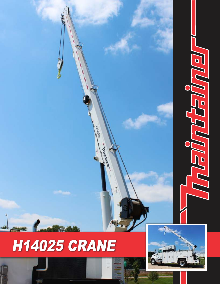

## H14025 CRANE